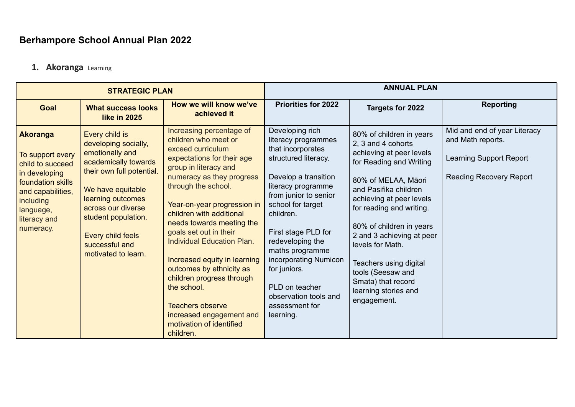# **Berhampore School Annual Plan 2022**

## **1. Akoranga** Learning

| <b>STRATEGIC PLAN</b>                                                                                                                                                     |                                                                                                                                                                                                                                                                     |                                                                                                                                                                                                                                                                                                                                                                                                                                                                                                                                                 | <b>ANNUAL PLAN</b>                                                                                                                                                                                                                                                                                                                                                            |                                                                                                                                                                                                                                                                                                                                                                                                        |                                                                                                                       |  |
|---------------------------------------------------------------------------------------------------------------------------------------------------------------------------|---------------------------------------------------------------------------------------------------------------------------------------------------------------------------------------------------------------------------------------------------------------------|-------------------------------------------------------------------------------------------------------------------------------------------------------------------------------------------------------------------------------------------------------------------------------------------------------------------------------------------------------------------------------------------------------------------------------------------------------------------------------------------------------------------------------------------------|-------------------------------------------------------------------------------------------------------------------------------------------------------------------------------------------------------------------------------------------------------------------------------------------------------------------------------------------------------------------------------|--------------------------------------------------------------------------------------------------------------------------------------------------------------------------------------------------------------------------------------------------------------------------------------------------------------------------------------------------------------------------------------------------------|-----------------------------------------------------------------------------------------------------------------------|--|
| <b>Goal</b>                                                                                                                                                               | <b>What success looks</b><br><b>like in 2025</b>                                                                                                                                                                                                                    | How we will know we've<br>achieved it                                                                                                                                                                                                                                                                                                                                                                                                                                                                                                           | <b>Priorities for 2022</b>                                                                                                                                                                                                                                                                                                                                                    | <b>Targets for 2022</b>                                                                                                                                                                                                                                                                                                                                                                                | <b>Reporting</b>                                                                                                      |  |
| <b>Akoranga</b><br>To support every<br>child to succeed<br>in developing<br>foundation skills<br>and capabilities,<br>including<br>language,<br>literacy and<br>numeracy. | Every child is<br>developing socially,<br>emotionally and<br>academically towards<br>their own full potential.<br>We have equitable<br>learning outcomes<br>across our diverse<br>student population.<br>Every child feels<br>successful and<br>motivated to learn. | Increasing percentage of<br>children who meet or<br>exceed curriculum<br>expectations for their age<br>group in literacy and<br>numeracy as they progress<br>through the school.<br>Year-on-year progression in<br>children with additional<br>needs towards meeting the<br>goals set out in their<br><b>Individual Education Plan.</b><br>Increased equity in learning<br>outcomes by ethnicity as<br>children progress through<br>the school.<br><b>Teachers observe</b><br>increased engagement and<br>motivation of identified<br>children. | Developing rich<br>literacy programmes<br>that incorporates<br>structured literacy.<br>Develop a transition<br>literacy programme<br>from junior to senior<br>school for target<br>children.<br>First stage PLD for<br>redeveloping the<br>maths programme<br>incorporating Numicon<br>for juniors.<br>PLD on teacher<br>observation tools and<br>assessment for<br>learning. | 80% of children in years<br>2, 3 and 4 cohorts<br>achieving at peer levels<br>for Reading and Writing<br>80% of MELAA, Māori<br>and Pasifika children<br>achieving at peer levels<br>for reading and writing.<br>80% of children in years<br>2 and 3 achieving at peer<br>levels for Math.<br>Teachers using digital<br>tools (Seesaw and<br>Smata) that record<br>learning stories and<br>engagement. | Mid and end of year Literacy<br>and Math reports.<br><b>Learning Support Report</b><br><b>Reading Recovery Report</b> |  |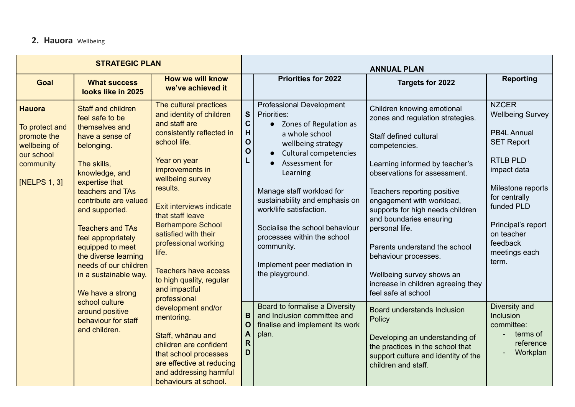#### **2. Hauora** Wellbeing

| <b>STRATEGIC PLAN</b>                                                                                     |                                                                                                                                                                                                                                                                                                                                                                                      |                                                                                                                                                                                                                                                                                                                                                                                                                      |                                                               | <b>ANNUAL PLAN</b>                                                                                                                                                                                                                                                                                                                                                                                                           |                                                                                                                                                                                                                                                                                                                                                                                                                                                                             |                                                                                                                                                                                                                                             |  |  |
|-----------------------------------------------------------------------------------------------------------|--------------------------------------------------------------------------------------------------------------------------------------------------------------------------------------------------------------------------------------------------------------------------------------------------------------------------------------------------------------------------------------|----------------------------------------------------------------------------------------------------------------------------------------------------------------------------------------------------------------------------------------------------------------------------------------------------------------------------------------------------------------------------------------------------------------------|---------------------------------------------------------------|------------------------------------------------------------------------------------------------------------------------------------------------------------------------------------------------------------------------------------------------------------------------------------------------------------------------------------------------------------------------------------------------------------------------------|-----------------------------------------------------------------------------------------------------------------------------------------------------------------------------------------------------------------------------------------------------------------------------------------------------------------------------------------------------------------------------------------------------------------------------------------------------------------------------|---------------------------------------------------------------------------------------------------------------------------------------------------------------------------------------------------------------------------------------------|--|--|
| Goal                                                                                                      | <b>What success</b><br>looks like in 2025                                                                                                                                                                                                                                                                                                                                            | <b>How we will know</b><br>we've achieved it                                                                                                                                                                                                                                                                                                                                                                         |                                                               | <b>Priorities for 2022</b>                                                                                                                                                                                                                                                                                                                                                                                                   | <b>Targets for 2022</b>                                                                                                                                                                                                                                                                                                                                                                                                                                                     | <b>Reporting</b>                                                                                                                                                                                                                            |  |  |
| <b>Hauora</b><br>To protect and<br>promote the<br>wellbeing of<br>our school<br>community<br>[NELPS 1, 3] | <b>Staff and children</b><br>feel safe to be<br>themselves and<br>have a sense of<br>belonging.<br>The skills,<br>knowledge, and<br>expertise that<br>teachers and TAs<br>contribute are valued<br>and supported.<br><b>Teachers and TAs</b><br>feel appropriately<br>equipped to meet<br>the diverse learning<br>needs of our children<br>in a sustainable way.<br>We have a strong | The cultural practices<br>and identity of children<br>and staff are<br>consistently reflected in<br>school life.<br>Year on year<br>improvements in<br>wellbeing survey<br>results.<br>Exit interviews indicate<br>that staff leave<br><b>Berhampore School</b><br>satisfied with their<br>professional working<br>life.<br><b>Teachers have access</b><br>to high quality, regular<br>and impactful<br>professional | ${\bf S}$<br>$\mathbf C$<br>H<br>$\mathbf{o}$<br>$\mathbf{o}$ | <b>Professional Development</b><br>Priorities:<br>Zones of Regulation as<br>$\bullet$<br>a whole school<br>wellbeing strategy<br>Cultural competencies<br>$\bullet$<br>Assessment for<br>Learning<br>Manage staff workload for<br>sustainability and emphasis on<br>work/life satisfaction.<br>Socialise the school behaviour<br>processes within the school<br>community.<br>Implement peer mediation in<br>the playground. | Children knowing emotional<br>zones and regulation strategies.<br>Staff defined cultural<br>competencies.<br>Learning informed by teacher's<br>observations for assessment.<br>Teachers reporting positive<br>engagement with workload,<br>supports for high needs children<br>and boundaries ensuring<br>personal life.<br>Parents understand the school<br>behaviour processes.<br>Wellbeing survey shows an<br>increase in children agreeing they<br>feel safe at school | <b>NZCER</b><br><b>Wellbeing Survey</b><br>PB4L Annual<br><b>SET Report</b><br><b>RTLB PLD</b><br>impact data<br>Milestone reports<br>for centrally<br>funded PLD<br>Principal's report<br>on teacher<br>feedback<br>meetings each<br>term. |  |  |
|                                                                                                           | school culture<br>around positive<br>mentoring.<br>behaviour for staff<br>and children.                                                                                                                                                                                                                                                                                              | development and/or<br>Staff, whānau and<br>children are confident<br>that school processes<br>are effective at reducing<br>and addressing harmful<br>behaviours at school.                                                                                                                                                                                                                                           | B<br>$\mathbf O$<br>A<br>$\mathsf{R}$<br>D                    | Board to formalise a Diversity<br>and Inclusion committee and<br>finalise and implement its work<br>plan.                                                                                                                                                                                                                                                                                                                    | Board understands Inclusion<br>Policy<br>Developing an understanding of<br>the practices in the school that<br>support culture and identity of the<br>children and staff.                                                                                                                                                                                                                                                                                                   | Diversity and<br>Inclusion<br>committee:<br>- terms of<br>reference<br>Workplan                                                                                                                                                             |  |  |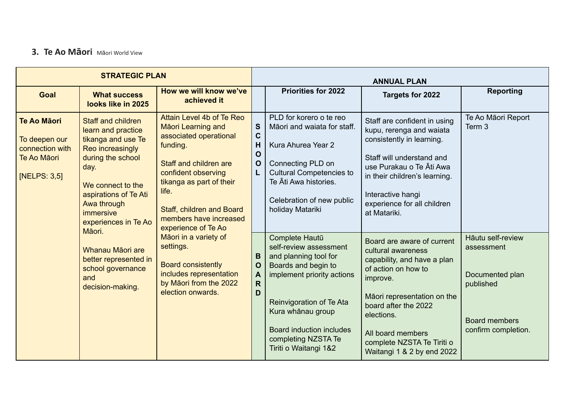### **3. Te Ao Māori** <sup>M</sup>āori World View

| <b>STRATEGIC PLAN</b>                                                          |                                                                                                                                                                                                                                                                                                                          |                                                                                                                                                                                                                                                                                                                                                                                                               |                                                     | <b>ANNUAL PLAN</b>                                                                                                                                                                                                                                         |                                                                                                                                                                                                                                                                          |                                                                                                                |  |
|--------------------------------------------------------------------------------|--------------------------------------------------------------------------------------------------------------------------------------------------------------------------------------------------------------------------------------------------------------------------------------------------------------------------|---------------------------------------------------------------------------------------------------------------------------------------------------------------------------------------------------------------------------------------------------------------------------------------------------------------------------------------------------------------------------------------------------------------|-----------------------------------------------------|------------------------------------------------------------------------------------------------------------------------------------------------------------------------------------------------------------------------------------------------------------|--------------------------------------------------------------------------------------------------------------------------------------------------------------------------------------------------------------------------------------------------------------------------|----------------------------------------------------------------------------------------------------------------|--|
| Goal                                                                           | <b>What success</b><br>looks like in 2025                                                                                                                                                                                                                                                                                | How we will know we've<br>achieved it                                                                                                                                                                                                                                                                                                                                                                         |                                                     | <b>Priorities for 2022</b>                                                                                                                                                                                                                                 | <b>Targets for 2022</b>                                                                                                                                                                                                                                                  | <b>Reporting</b>                                                                                               |  |
| Te Ao Māori<br>To deepen our<br>connection with<br>Te Ao Māori<br>[NELPS: 3,5] | Staff and children<br>learn and practice<br>tikanga and use Te<br>Reo increasingly<br>during the school<br>day.<br>We connect to the<br>aspirations of Te Ati<br>Awa through<br>immersive<br>experiences in Te Ao<br>Māori.<br>Whanau Māori are<br>better represented in<br>school governance<br>and<br>decision-making. | Attain Level 4b of Te Reo<br><b>Māori Learning and</b><br>associated operational<br>funding.<br>Staff and children are<br>confident observing<br>tikanga as part of their<br>life.<br>Staff, children and Board<br>members have increased<br>experience of Te Ao<br>Māori in a variety of<br>settings.<br><b>Board consistently</b><br>includes representation<br>by Māori from the 2022<br>election onwards. | S<br>$\mathbf C$<br>H<br>$\mathbf O$<br>$\mathbf O$ | PLD for korero o te reo<br>Māori and waiata for staff.<br>Kura Ahurea Year 2<br>Connecting PLD on<br><b>Cultural Competencies to</b><br>Te Āti Awa histories.<br>Celebration of new public<br>holiday Matariki                                             | Staff are confident in using<br>kupu, rerenga and waiata<br>consistently in learning.<br>Staff will understand and<br>use Purakau o Te Āti Awa<br>in their children's learning.<br>Interactive hangi<br>experience for all children<br>at Matariki.                      | Te Ao Māori Report<br>Term <sub>3</sub>                                                                        |  |
|                                                                                |                                                                                                                                                                                                                                                                                                                          |                                                                                                                                                                                                                                                                                                                                                                                                               | B<br>$\mathbf O$<br>A<br>$\mathsf{R}$<br>D          | Complete Hautū<br>self-review assessment<br>and planning tool for<br>Boards and begin to<br>implement priority actions<br>Reinvigoration of Te Ata<br>Kura whānau group<br><b>Board induction includes</b><br>completing NZSTA Te<br>Tiriti o Waitangi 1&2 | Board are aware of current<br>cultural awareness<br>capability, and have a plan<br>of action on how to<br>improve.<br>Māori representation on the<br>board after the 2022<br>elections.<br>All board members<br>complete NZSTA Te Tiriti o<br>Waitangi 1 & 2 by end 2022 | Hāutu self-review<br>assessment<br>Documented plan<br>published<br><b>Board members</b><br>confirm completion. |  |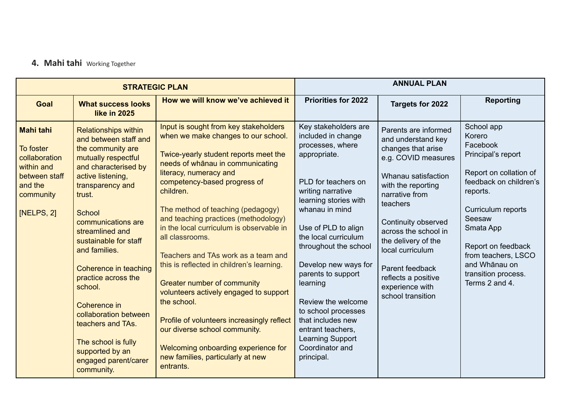# **4. Mahi tahi** Working Together

|                                                                                                                     | <b>STRATEGIC PLAN</b>                                                                                                                                                                                                                                                                                                                                                                                                                                                             |                                                                                                                                                                                                                                                                                                                                                                                                                                                                                                                                                                                                                                                                                                                                  | <b>ANNUAL PLAN</b>                                                                                                                                                                                                                                                                                                                                                                                                                                         |                                                                                                                                                                                                                                                                                                                                                |                                                                                                                                                                                                                                                                            |  |
|---------------------------------------------------------------------------------------------------------------------|-----------------------------------------------------------------------------------------------------------------------------------------------------------------------------------------------------------------------------------------------------------------------------------------------------------------------------------------------------------------------------------------------------------------------------------------------------------------------------------|----------------------------------------------------------------------------------------------------------------------------------------------------------------------------------------------------------------------------------------------------------------------------------------------------------------------------------------------------------------------------------------------------------------------------------------------------------------------------------------------------------------------------------------------------------------------------------------------------------------------------------------------------------------------------------------------------------------------------------|------------------------------------------------------------------------------------------------------------------------------------------------------------------------------------------------------------------------------------------------------------------------------------------------------------------------------------------------------------------------------------------------------------------------------------------------------------|------------------------------------------------------------------------------------------------------------------------------------------------------------------------------------------------------------------------------------------------------------------------------------------------------------------------------------------------|----------------------------------------------------------------------------------------------------------------------------------------------------------------------------------------------------------------------------------------------------------------------------|--|
| <b>Goal</b>                                                                                                         | <b>What success looks</b><br><b>like in 2025</b>                                                                                                                                                                                                                                                                                                                                                                                                                                  | How we will know we've achieved it                                                                                                                                                                                                                                                                                                                                                                                                                                                                                                                                                                                                                                                                                               | <b>Priorities for 2022</b>                                                                                                                                                                                                                                                                                                                                                                                                                                 | <b>Targets for 2022</b>                                                                                                                                                                                                                                                                                                                        | <b>Reporting</b>                                                                                                                                                                                                                                                           |  |
| <b>Mahi tahi</b><br>To foster<br>collaboration<br>within and<br>between staff<br>and the<br>community<br>[NELPS, 2] | <b>Relationships within</b><br>and between staff and<br>the community are<br>mutually respectful<br>and characterised by<br>active listening,<br>transparency and<br>trust.<br>School<br>communications are<br>streamlined and<br>sustainable for staff<br>and families.<br>Coherence in teaching<br>practice across the<br>school.<br>Coherence in<br>collaboration between<br>teachers and TAs.<br>The school is fully<br>supported by an<br>engaged parent/carer<br>community. | Input is sought from key stakeholders<br>when we make changes to our school.<br>Twice-yearly student reports meet the<br>needs of whanau in communicating<br>literacy, numeracy and<br>competency-based progress of<br>children.<br>The method of teaching (pedagogy)<br>and teaching practices (methodology)<br>in the local curriculum is observable in<br>all classrooms.<br>Teachers and TAs work as a team and<br>this is reflected in children's learning.<br>Greater number of community<br>volunteers actively engaged to support<br>the school.<br>Profile of volunteers increasingly reflect<br>our diverse school community.<br>Welcoming onboarding experience for<br>new families, particularly at new<br>entrants. | Key stakeholders are<br>included in change<br>processes, where<br>appropriate.<br>PLD for teachers on<br>writing narrative<br>learning stories with<br>whanau in mind<br>Use of PLD to align<br>the local curriculum<br>throughout the school<br>Develop new ways for<br>parents to support<br>learning<br>Review the welcome<br>to school processes<br>that includes new<br>entrant teachers,<br><b>Learning Support</b><br>Coordinator and<br>principal. | Parents are informed<br>and understand key<br>changes that arise<br>e.g. COVID measures<br>Whanau satisfaction<br>with the reporting<br>narrative from<br>teachers<br>Continuity observed<br>across the school in<br>the delivery of the<br>local curriculum<br>Parent feedback<br>reflects a positive<br>experience with<br>school transition | School app<br>Korero<br>Facebook<br>Principal's report<br>Report on collation of<br>feedback on children's<br>reports.<br>Curriculum reports<br>Seesaw<br>Smata App<br>Report on feedback<br>from teachers, LSCO<br>and Whānau on<br>transition process.<br>Terms 2 and 4. |  |